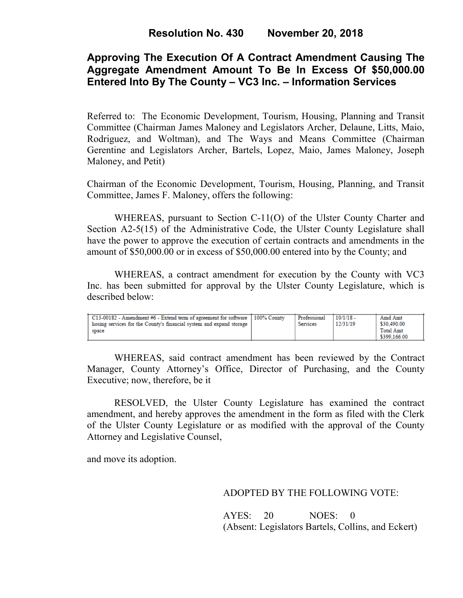# **Approving The Execution Of A Contract Amendment Causing The Aggregate Amendment Amount To Be In Excess Of \$50,000.00 Entered Into By The County – VC3 Inc. – Information Services**

Referred to: The Economic Development, Tourism, Housing, Planning and Transit Committee (Chairman James Maloney and Legislators Archer, Delaune, Litts, Maio, Rodriguez, and Woltman), and The Ways and Means Committee (Chairman Gerentine and Legislators Archer, Bartels, Lopez, Maio, James Maloney, Joseph Maloney, and Petit)

Chairman of the Economic Development, Tourism, Housing, Planning, and Transit Committee, James F. Maloney, offers the following:

WHEREAS, pursuant to Section C-11(O) of the Ulster County Charter and Section A2-5(15) of the Administrative Code, the Ulster County Legislature shall have the power to approve the execution of certain contracts and amendments in the amount of \$50,000.00 or in excess of \$50,000.00 entered into by the County; and

WHEREAS, a contract amendment for execution by the County with VC3 Inc. has been submitted for approval by the Ulster County Legislature, which is described below:

| C13-00182 - Amendment #6 - Extend term of agreement for software   100% County<br>hosing services for the County's financial system and expand storage<br>space |  | Professional<br>Services | $10/1/18$ -<br>12/31/19 | Amd Amt<br>\$30,490.00<br><b>Total Amt</b><br>\$399,166.00 |
|-----------------------------------------------------------------------------------------------------------------------------------------------------------------|--|--------------------------|-------------------------|------------------------------------------------------------|
|-----------------------------------------------------------------------------------------------------------------------------------------------------------------|--|--------------------------|-------------------------|------------------------------------------------------------|

WHEREAS, said contract amendment has been reviewed by the Contract Manager, County Attorney's Office, Director of Purchasing, and the County Executive; now, therefore, be it

RESOLVED, the Ulster County Legislature has examined the contract amendment, and hereby approves the amendment in the form as filed with the Clerk of the Ulster County Legislature or as modified with the approval of the County Attorney and Legislative Counsel,

and move its adoption.

### ADOPTED BY THE FOLLOWING VOTE:

AYES: 20 NOES: 0 (Absent: Legislators Bartels, Collins, and Eckert)